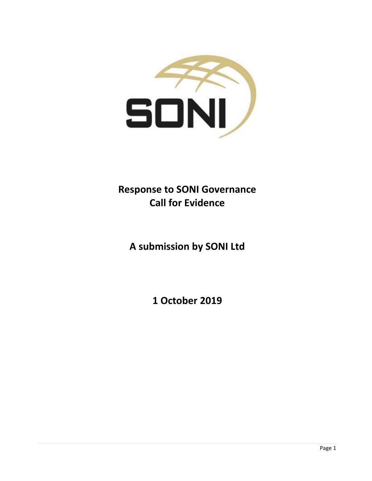

# **Response to SONI Governance Call for Evidence**

**A submission by SONI Ltd**

**1 October 2019**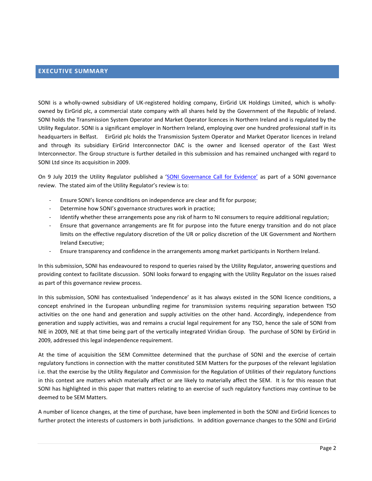#### <span id="page-1-0"></span>**EXECUTIVE SUMMARY**

SONI is a wholly-owned subsidiary of UK-registered holding company, EirGrid UK Holdings Limited, which is whollyowned by EirGrid plc, a commercial state company with all shares held by the Government of the Republic of Ireland. SONI holds the Transmission System Operator and Market Operator licences in Northern Ireland and is regulated by the Utility Regulator. SONI is a significant employer in Northern Ireland, employing over one hundred professional staff in its headquarters in Belfast. EirGrid plc holds the Transmission System Operator and Market Operator licences in Ireland and through its subsidiary EirGrid Interconnector DAC is the owner and licensed operator of the East West Interconnector. The Group structure is further detailed in this submission and has remained unchanged with regard to SONI Ltd since its acquisition in 2009.

On 9 July 2019 the Utility Regulator published a ['SONI Governance Call for Evidence'](https://www.uregni.gov.uk/sites/uregni/files/media-files/20190709%20SONI%20Governance%20A%20Call%20for%20Evidence.pdf) as part of a SONI governance review. The stated aim of the Utility Regulator's review is to:

- Ensure SONI's licence conditions on independence are clear and fit for purpose;
- Determine how SONI's governance structures work in practice;
- Identify whether these arrangements pose any risk of harm to NI consumers to require additional regulation;
- Ensure that governance arrangements are fit for purpose into the future energy transition and do not place limits on the effective regulatory discretion of the UR or policy discretion of the UK Government and Northern Ireland Executive;
- Ensure transparency and confidence in the arrangements among market participants in Northern Ireland.

In this submission, SONI has endeavoured to respond to queries raised by the Utility Regulator, answering questions and providing context to facilitate discussion. SONI looks forward to engaging with the Utility Regulator on the issues raised as part of this governance review process.

In this submission, SONI has contextualised 'independence' as it has always existed in the SONI licence conditions, a concept enshrined in the European unbundling regime for transmission systems requiring separation between TSO activities on the one hand and generation and supply activities on the other hand. Accordingly, independence from generation and supply activities, was and remains a crucial legal requirement for any TSO, hence the sale of SONI from NIE in 2009, NIE at that time being part of the vertically integrated Viridian Group. The purchase of SONI by EirGrid in 2009, addressed this legal independence requirement.

At the time of acquisition the SEM Committee determined that the purchase of SONI and the exercise of certain regulatory functions in connection with the matter constituted SEM Matters for the purposes of the relevant legislation i.e. that the exercise by the Utility Regulator and Commission for the Regulation of Utilities of their regulatory functions in this context are matters which materially affect or are likely to materially affect the SEM. It is for this reason that SONI has highlighted in this paper that matters relating to an exercise of such regulatory functions may continue to be deemed to be SEM Matters.

A number of licence changes, at the time of purchase, have been implemented in both the SONI and EirGrid licences to further protect the interests of customers in both jurisdictions. In addition governance changes to the SONI and EirGrid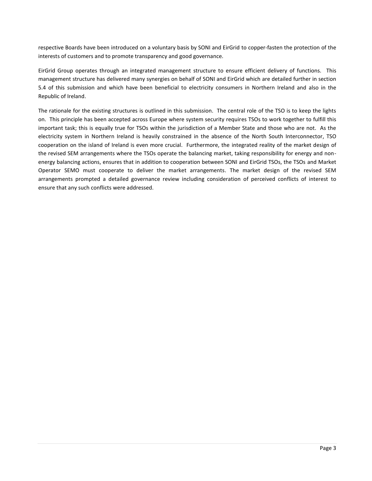respective Boards have been introduced on a voluntary basis by SONI and EirGrid to copper-fasten the protection of the interests of customers and to promote transparency and good governance.

EirGrid Group operates through an integrated management structure to ensure efficient delivery of functions. This management structure has delivered many synergies on behalf of SONI and EirGrid which are detailed further in section 5.4 of this submission and which have been beneficial to electricity consumers in Northern Ireland and also in the Republic of Ireland.

The rationale for the existing structures is outlined in this submission. The central role of the TSO is to keep the lights on. This principle has been accepted across Europe where system security requires TSOs to work together to fulfill this important task; this is equally true for TSOs within the jurisdiction of a Member State and those who are not. As the electricity system in Northern Ireland is heavily constrained in the absence of the North South Interconnector, TSO cooperation on the island of Ireland is even more crucial. Furthermore, the integrated reality of the market design of the revised SEM arrangements where the TSOs operate the balancing market, taking responsibility for energy and nonenergy balancing actions, ensures that in addition to cooperation between SONI and EirGrid TSOs, the TSOs and Market Operator SEMO must cooperate to deliver the market arrangements. The market design of the revised SEM arrangements prompted a detailed governance review including consideration of perceived conflicts of interest to ensure that any such conflicts were addressed.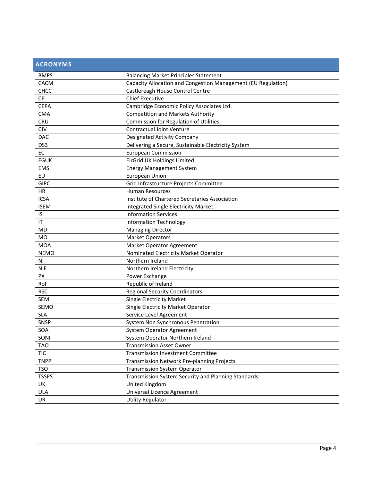<span id="page-3-0"></span>

| <b>ACRONYMS</b> |                                                               |
|-----------------|---------------------------------------------------------------|
| <b>BMPS</b>     | <b>Balancing Market Principles Statement</b>                  |
| CACM            | Capacity Allocation and Congestion Management (EU Regulation) |
| CHCC            | Castlereagh House Control Centre                              |
| <b>CE</b>       | <b>Chief Executive</b>                                        |
| <b>CEPA</b>     | Cambridge Economic Policy Associates Ltd.                     |
| <b>CMA</b>      | <b>Competition and Markets Authority</b>                      |
| <b>CRU</b>      | Commission for Regulation of Utilities                        |
| <b>CJV</b>      | <b>Contractual Joint Venture</b>                              |
| <b>DAC</b>      | Designated Activity Company                                   |
| DS3             | Delivering a Secure, Sustainable Electricity System           |
| EC              | <b>European Commission</b>                                    |
| <b>EGUK</b>     | EirGrid UK Holdings Limited                                   |
| <b>EMS</b>      | <b>Energy Management System</b>                               |
| EU              | <b>European Union</b>                                         |
| <b>GIPC</b>     | Grid Infrastructure Projects Committee                        |
| HR              | <b>Human Resources</b>                                        |
| <b>ICSA</b>     | Institute of Chartered Secretaries Association                |
| <b>ISEM</b>     | <b>Integrated Single Electricity Market</b>                   |
| IS              | <b>Information Services</b>                                   |
| IT              | <b>Information Technology</b>                                 |
| <b>MD</b>       | <b>Managing Director</b>                                      |
| MO              | <b>Market Operators</b>                                       |
| <b>MOA</b>      | Market Operator Agreement                                     |
| <b>NEMO</b>     | Nominated Electricity Market Operator                         |
| N <sub>1</sub>  | Northern Ireland                                              |
| <b>NIE</b>      | Northern Ireland Electricity                                  |
| PX              | Power Exchange                                                |
| Rol             | Republic of Ireland                                           |
| <b>RSC</b>      | <b>Regional Security Coordinators</b>                         |
| <b>SEM</b>      | <b>Single Electricity Market</b>                              |
| SEMO            | Single Electricity Market Operator                            |
| <b>SLA</b>      | Service Level Agreement                                       |
| <b>SNSP</b>     | System Non Synchronous Penetration                            |
| <b>SOA</b>      | <b>System Operator Agreement</b>                              |
| SONI            | System Operator Northern Ireland                              |
| <b>TAO</b>      | <b>Transmission Asset Owner</b>                               |
| <b>TIC</b>      | <b>Transmission Investment Committee</b>                      |
| <b>TNPP</b>     | Transmission Network Pre-planning Projects                    |
| <b>TSO</b>      | <b>Transmission System Operator</b>                           |
| <b>TSSPS</b>    | Transmission System Security and Planning Standards           |
| UK              | United Kingdom                                                |
| <b>ULA</b>      | Universal Licence Agreement                                   |
| <b>UR</b>       | <b>Utility Regulator</b>                                      |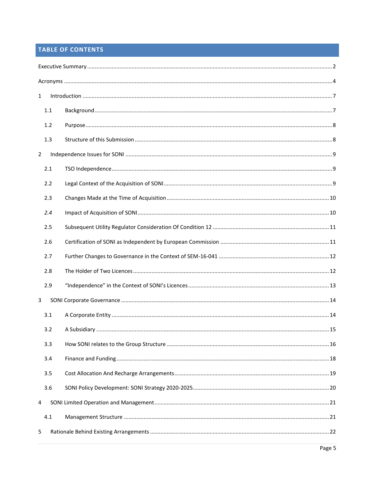# TABLE OF CONTENTS

| $\mathbf{1}$   |     |  |  |  |  |
|----------------|-----|--|--|--|--|
|                | 1.1 |  |  |  |  |
|                | 1.2 |  |  |  |  |
|                | 1.3 |  |  |  |  |
| $\overline{2}$ |     |  |  |  |  |
|                | 2.1 |  |  |  |  |
|                | 2.2 |  |  |  |  |
|                | 2.3 |  |  |  |  |
|                | 2.4 |  |  |  |  |
|                | 2.5 |  |  |  |  |
|                | 2.6 |  |  |  |  |
|                | 2.7 |  |  |  |  |
|                | 2.8 |  |  |  |  |
|                | 2.9 |  |  |  |  |
| $\mathbf{3}$   |     |  |  |  |  |
|                | 3.1 |  |  |  |  |
|                | 3.2 |  |  |  |  |
|                | 3.3 |  |  |  |  |
|                | 3.4 |  |  |  |  |
|                | 3.5 |  |  |  |  |
|                | 3.6 |  |  |  |  |
| 4              |     |  |  |  |  |
|                | 4.1 |  |  |  |  |
| 5              |     |  |  |  |  |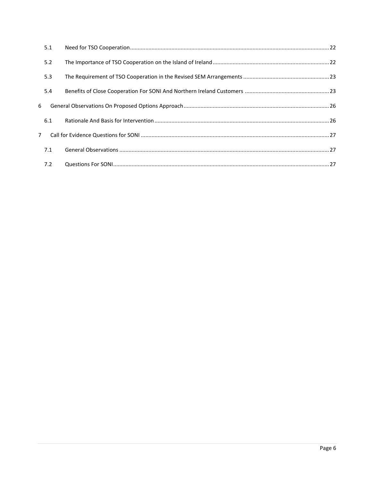|                | 5.1 |  |
|----------------|-----|--|
|                | 5.2 |  |
|                | 5.3 |  |
|                | 5.4 |  |
| 6              |     |  |
|                | 6.1 |  |
| $\overline{7}$ |     |  |
|                | 7.1 |  |
|                | 7.2 |  |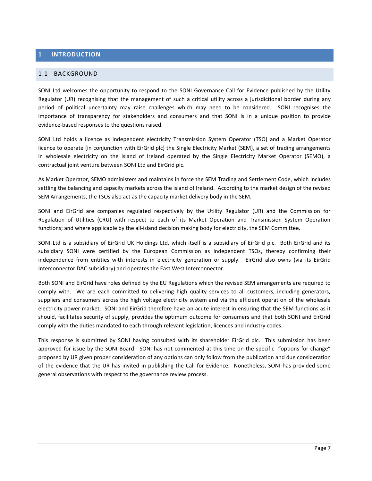#### <span id="page-6-0"></span>**1 INTRODUCTION**

#### <span id="page-6-1"></span>1.1 BACKGROUND

SONI Ltd welcomes the opportunity to respond to the SONI Governance Call for Evidence published by the Utility Regulator (UR) recognising that the management of such a critical utility across a jurisdictional border during any period of political uncertainty may raise challenges which may need to be considered. SONI recognises the importance of transparency for stakeholders and consumers and that SONI is in a unique position to provide evidence-based responses to the questions raised.

SONI Ltd holds a licence as independent electricity Transmission System Operator (TSO) and a Market Operator licence to operate (in conjunction with EirGrid plc) the Single Electricity Market (SEM), a set of trading arrangements in wholesale electricity on the island of Ireland operated by the Single Electricity Market Operator (SEMO), a contractual joint venture between SONI Ltd and EirGrid plc.

As Market Operator, SEMO administers and maintains in force the SEM Trading and Settlement Code, which includes settling the balancing and capacity markets across the island of Ireland. According to the market design of the revised SEM Arrangements, the TSOs also act as the capacity market delivery body in the SEM.

SONI and EirGrid are companies regulated respectively by the Utility Regulator (UR) and the Commission for Regulation of Utilities (CRU) with respect to each of its Market Operation and Transmission System Operation functions; and where applicable by the all-island decision making body for electricity, the SEM Committee.

SONI Ltd is a subsidiary of EirGrid UK Holdings Ltd, which itself is a subsidiary of EirGrid plc. Both EirGrid and its subsidiary SONI were certified by the European Commission as independent TSOs, thereby confirming their independence from entities with interests in electricity generation or supply. EirGrid also owns (via its EirGrid Interconnector DAC subsidiary) and operates the East West Interconnector.

Both SONI and EirGrid have roles defined by the EU Regulations which the revised SEM arrangements are required to comply with. We are each committed to delivering high quality services to all customers, including generators, suppliers and consumers across the high voltage electricity system and via the efficient operation of the wholesale electricity power market. SONI and EirGrid therefore have an acute interest in ensuring that the SEM functions as it should, facilitates security of supply, provides the optimum outcome for consumers and that both SONI and EirGrid comply with the duties mandated to each through relevant legislation, licences and industry codes.

This response is submitted by SONI having consulted with its shareholder EirGrid plc. This submission has been approved for issue by the SONI Board. SONI has not commented at this time on the specific "options for change" proposed by UR given proper consideration of any options can only follow from the publication and due consideration of the evidence that the UR has invited in publishing the Call for Evidence. Nonetheless, SONI has provided some general observations with respect to the governance review process.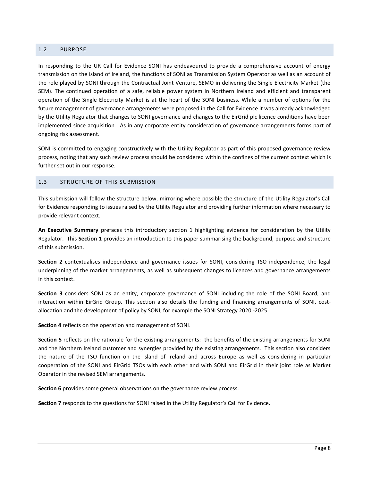#### <span id="page-7-0"></span>1.2 PURPOSE

In responding to the UR Call for Evidence SONI has endeavoured to provide a comprehensive account of energy transmission on the island of Ireland, the functions of SONI as Transmission System Operator as well as an account of the role played by SONI through the Contractual Joint Venture, SEMO in delivering the Single Electricity Market (the SEM). The continued operation of a safe, reliable power system in Northern Ireland and efficient and transparent operation of the Single Electricity Market is at the heart of the SONI business. While a number of options for the future management of governance arrangements were proposed in the Call for Evidence it was already acknowledged by the Utility Regulator that changes to SONI governance and changes to the EirGrid plc licence conditions have been implemented since acquisition. As in any corporate entity consideration of governance arrangements forms part of ongoing risk assessment.

SONI is committed to engaging constructively with the Utility Regulator as part of this proposed governance review process, noting that any such review process should be considered within the confines of the current context which is further set out in our response.

#### <span id="page-7-1"></span>1.3 STRUCTURE OF THIS SUBMISSION

This submission will follow the structure below, mirroring where possible the structure of the Utility Regulator's Call for Evidence responding to issues raised by the Utility Regulator and providing further information where necessary to provide relevant context.

**An Executive Summary** prefaces this introductory section 1 highlighting evidence for consideration by the Utility Regulator. This **Section 1** provides an introduction to this paper summarising the background, purpose and structure of this submission.

**Section 2** contextualises independence and governance issues for SONI, considering TSO independence, the legal underpinning of the market arrangements, as well as subsequent changes to licences and governance arrangements in this context.

**Section 3** considers SONI as an entity, corporate governance of SONI including the role of the SONI Board, and interaction within EirGrid Group. This section also details the funding and financing arrangements of SONI, costallocation and the development of policy by SONI, for example the SONI Strategy 2020 -2025.

**Section 4** reflects on the operation and management of SONI.

**Section 5** reflects on the rationale for the existing arrangements: the benefits of the existing arrangements for SONI and the Northern Ireland customer and synergies provided by the existing arrangements. This section also considers the nature of the TSO function on the island of Ireland and across Europe as well as considering in particular cooperation of the SONI and EirGrid TSOs with each other and with SONI and EirGrid in their joint role as Market Operator in the revised SEM arrangements.

**Section 6** provides some general observations on the governance review process.

**Section 7** responds to the questions for SONI raised in the Utility Regulator's Call for Evidence.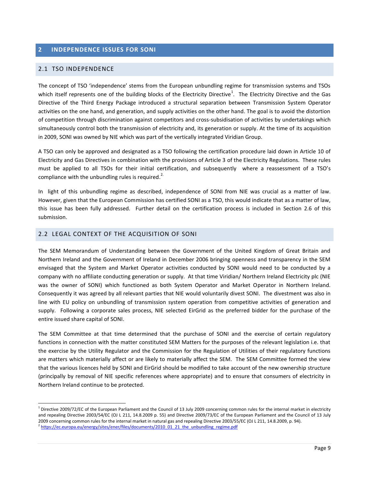#### <span id="page-8-0"></span>**2 INDEPENDENCE ISSUES FOR SONI**

#### <span id="page-8-1"></span>2.1 TSO INDEPENDENCE

 $\overline{a}$ 

The concept of TSO 'independence' stems from the European unbundling regime for transmission systems and TSOs which itself represents one of the building blocks of the Electricity Directive<sup>1</sup>. The Electricity Directive and the Gas Directive of the Third Energy Package introduced a structural separation between Transmission System Operator activities on the one hand, and generation, and supply activities on the other hand. The goal is to avoid the distortion of competition through discrimination against competitors and cross-subsidisation of activities by undertakings which simultaneously control both the transmission of electricity and, its generation or supply. At the time of its acquisition in 2009, SONI was owned by NIE which was part of the vertically integrated Viridian Group.

A TSO can only be approved and designated as a TSO following the certification procedure laid down in Article 10 of Electricity and Gas Directives in combination with the provisions of Article 3 of the Electricity Regulations. These rules must be applied to all TSOs for their initial certification, and subsequently where a reassessment of a TSO's compliance with the unbundling rules is required.<sup>2.</sup>

In light of this unbundling regime as described, independence of SONI from NIE was crucial as a matter of law. However, given that the European Commission has certified SONI as a TSO, this would indicate that as a matter of law, this issue has been fully addressed. Further detail on the certification process is included in Section 2.6 of this submission.

#### <span id="page-8-2"></span>2.2 LEGAL CONTEXT OF THE ACQUISITION OF SONI

The SEM Memorandum of Understanding between the Government of the United Kingdom of Great Britain and Northern Ireland and the Government of Ireland in December 2006 bringing openness and transparency in the SEM envisaged that the System and Market Operator activities conducted by SONI would need to be conducted by a company with no affiliate conducting generation or supply. At that time Viridian/ Northern Ireland Electricity plc (NIE was the owner of SONI) which functioned as both System Operator and Market Operator in Northern Ireland. Consequently it was agreed by all relevant parties that NIE would voluntarily divest SONI. The divestment was also in line with EU policy on unbundling of transmission system operation from competitive activities of generation and supply. Following a corporate sales process, NIE selected EirGrid as the preferred bidder for the purchase of the entire issued share capital of SONI.

The SEM Committee at that time determined that the purchase of SONI and the exercise of certain regulatory functions in connection with the matter constituted SEM Matters for the purposes of the relevant legislation i.e. that the exercise by the Utility Regulator and the Commission for the Regulation of Utilities of their regulatory functions are matters which materially affect or are likely to materially affect the SEM. The SEM Committee formed the view that the various licences held by SONI and EirGrid should be modified to take account of the new ownership structure (principally by removal of NIE specific references where appropriate) and to ensure that consumers of electricity in Northern Ireland continue to be protected.

 $^1$  Directive 2009/72/EC of the European Parliament and the Council of 13 July 2009 concerning common rules for the internal market in electricity and repealing Directive 2003/54/EC (OJ L 211, 14.8.2009 p. 55) and Directive 2009/73/EC of the European Parliament and the Council of 13 July 2009 concerning common rules for the internal market in natural gas and repealing Directive 2003/55/EC (OJ L 211, 14.8.2009, p. 94). <sup>2</sup> [https://ec.europa.eu/energy/sites/ener/files/documents/2010\\_01\\_21\\_the\\_unbundling\\_regime.pdf](https://ec.europa.eu/energy/sites/ener/files/documents/2010_01_21_the_unbundling_regime.pdf)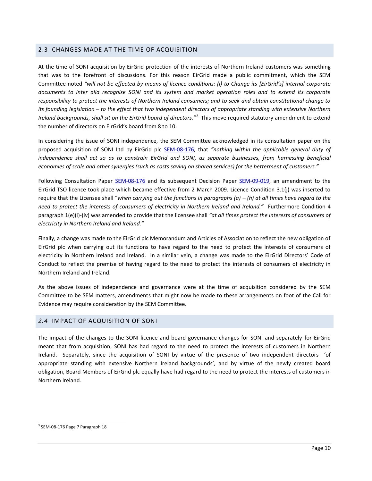#### <span id="page-9-0"></span>2.3 CHANGES MADE AT THE TIME OF ACQUISITION

At the time of SONI acquisition by EirGrid protection of the interests of Northern Ireland customers was something that was to the forefront of discussions. For this reason EirGrid made a public commitment, which the SEM Committee noted *"will not be effected by means of licence conditions: (i) to Change its [EirGrid's] internal corporate documents to inter alia recognise SONI and its system and market operation roles and to extend its corporate responsibility to protect the interests of Northern Ireland consumers; and to seek and obtain constitutional change to its founding legislation – to the effect that two independent directors of appropriate standing with extensive Northern*  Ireland backgrounds, shall sit on the EirGrid board of directors.<sup>"3</sup> This move required statutory amendment to extend the number of directors on EirGrid's board from 8 to 10.

In considering the issue of SONI independence, the SEM Committee acknowledged in its consultation paper on the proposed acquisition of SONI Ltd by EirGrid plc [SEM-08-176,](https://www.semcommittee.com/news-centre/sem-08-176-proposed-acquisition-soni-ltd-by-eirgrid-plc) that *"nothing within the applicable general duty of independence shall act so as to constrain EirGrid and SONI, as separate businesses, from harnessing beneficial economies of scale and other synergies (such as costs saving on shared services) for the betterment of customers."*

Following Consultation Paper [SEM-08-176](https://www.semcommittee.com/news-centre/sem-08-176-proposed-acquisition-soni-ltd-by-eirgrid-plc) and its subsequent Decision Paper [SEM-09-019,](https://www.semcommittee.com/sites/semcommittee.com/files/media-files/SEM-09-019.pdf) an amendment to the EirGrid TSO licence took place which became effective from 2 March 2009. Licence Condition 3.1(j) was inserted to require that the Licensee shall "when carrying out the functions in paragraphs (a) – (h) at all times have regard to the *need to protect the interests of consumers of electricity in Northern Ireland and Ireland."* Furthermore Condition 4 paragraph 1(e)(i)-(iv) was amended to provide that the licensee shall *"at all times protect the interests of consumers of electricity in Northern Ireland and Ireland."*

Finally, a change was made to the EirGrid plc Memorandum and Articles of Association to reflect the new obligation of EirGrid plc when carrying out its functions to have regard to the need to protect the interests of consumers of electricity in Northern Ireland and Ireland. In a similar vein, a change was made to the EirGrid Directors' Code of Conduct to reflect the premise of having regard to the need to protect the interests of consumers of electricity in Northern Ireland and Ireland.

As the above issues of independence and governance were at the time of acquisition considered by the SEM Committee to be SEM matters, amendments that might now be made to these arrangements on foot of the Call for Evidence may require consideration by the SEM Committee.

#### <span id="page-9-1"></span>*2.4* IMPACT OF ACQUISITION OF SONI

The impact of the changes to the SONI licence and board governance changes for SONI and separately for EirGrid meant that from acquisition, SONI has had regard to the need to protect the interests of customers in Northern Ireland. Separately, since the acquisition of SONI by virtue of the presence of two independent directors 'of appropriate standing with extensive Northern Ireland backgrounds', and by virtue of the newly created board obligation, Board Members of EirGrid plc equally have had regard to the need to protect the interests of customers in Northern Ireland.

<sup>&</sup>lt;sup>3</sup> SEM-08-176 Page 7 Paragraph 18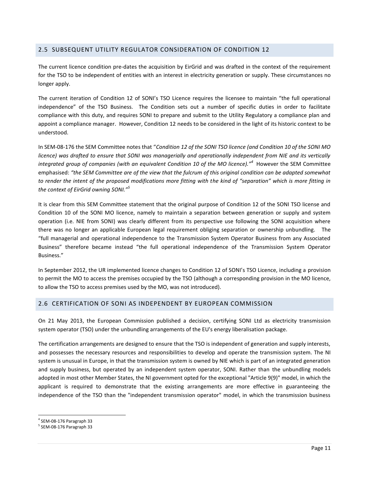#### <span id="page-10-0"></span>2.5 SUBSEQUENT UTILITY REGULATOR CONSIDERATION OF CONDITION 12

The current licence condition pre-dates the acquisition by EirGrid and was drafted in the context of the requirement for the TSO to be independent of entities with an interest in electricity generation or supply. These circumstances no longer apply.

The current iteration of Condition 12 of SONI's TSO Licence requires the licensee to maintain "the full operational independence" of the TSO Business. The Condition sets out a number of specific duties in order to facilitate compliance with this duty, and requires SONI to prepare and submit to the Utility Regulatory a compliance plan and appoint a compliance manager. However, Condition 12 needs to be considered in the light of its historic context to be understood.

In SEM-08-176 the SEM Committee notes that "*Condition 12 of the SONI TSO licence (and Condition 10 of the SONI MO licence) was drafted to ensure that SONI was managerially and operationally independent from NIE and its vertically integrated group of companies (with an equivalent Condition 10 of the MO licence)."<sup>4</sup>* However the SEM Committee emphasised: *"the SEM Committee are of the view that the fulcrum of this original condition can be adapted somewhat to render the intent of the proposed modifications more fitting with the kind of "separation" which is more fitting in the context of EirGrid owning SONI."<sup>5</sup>*

It is clear from this SEM Committee statement that the original purpose of Condition 12 of the SONI TSO license and Condition 10 of the SONI MO licence, namely to maintain a separation between generation or supply and system operation (i.e. NIE from SONI) was clearly different from its perspective use following the SONI acquisition where there was no longer an applicable European legal requirement obliging separation or ownership unbundling. The "full managerial and operational independence to the Transmission System Operator Business from any Associated Business" therefore became instead "the full operational independence of the Transmission System Operator Business."

In September 2012, the UR implemented licence changes to Condition 12 of SONI's TSO Licence, including a provision to permit the MO to access the premises occupied by the TSO (although a corresponding provision in the MO licence, to allow the TSO to access premises used by the MO, was not introduced).

#### <span id="page-10-1"></span>2.6 CERTIFICATION OF SONI AS INDEPENDENT BY EUROPEAN COMMISSION

On 21 May 2013, the European Commission published a decision, certifying SONI Ltd as electricity transmission system operator (TSO) under the unbundling arrangements of the EU's energy liberalisation package.

The certification arrangements are designed to ensure that the TSO is independent of generation and supply interests, and possesses the necessary resources and responsibilities to develop and operate the transmission system. The NI system is unusual in Europe, in that the transmission system is owned by NIE which is part of an integrated generation and supply business, but operated by an independent system operator, SONI. Rather than the unbundling models adopted in most other Member States, the NI government opted for the exceptional "Article 9(9)" model, in which the applicant is required to demonstrate that the existing arrangements are more effective in guaranteeing the independence of the TSO than the "independent transmission operator" model, in which the transmission business

<sup>4</sup> SEM-08-176 Paragraph 33

<sup>5</sup> SEM-08-176 Paragraph 33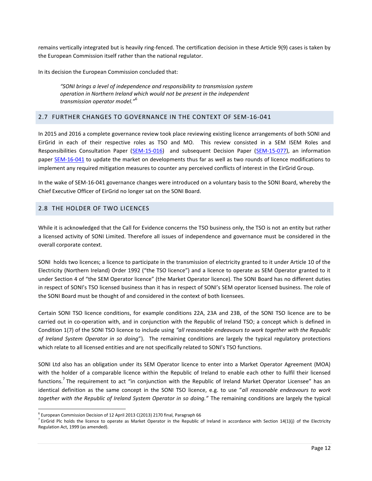remains vertically integrated but is heavily ring-fenced. The certification decision in these Article 9(9) cases is taken by the European Commission itself rather than the national regulator.

In its decision the European Commission concluded that:

*"SONI brings a level of independence and responsibility to transmission system operation in Northern Ireland which would not be present in the independent transmission operator model."*<sup>6</sup>

#### <span id="page-11-0"></span>2.7 FURTHER CHANGES TO GOVERNANCE IN THE CONTEXT OF SEM-16-041

In 2015 and 2016 a complete governance review took place reviewing existing licence arrangements of both SONI and EirGrid in each of their respective roles as TSO and MO. This review consisted in a SEM ISEM Roles and Responsibilities Consultation Paper [\(SEM-15-016\)](https://www.semcommittee.com/publication/sem-15-016-i-sem-roles-and-responsibilities-consultation-paper) and subsequent Decision Paper [\(SEM-15-077\)](https://www.semcommittee.com/sites/semcommittee.com/files/media-files/SEM-15-077%20I-SEM%20Roles%20and%20Responsibilities%20Decision.pdf), an information paper [SEM-16-041](https://www.semcommittee.com/news-centre/mitigation-measures-potential-conflicts-interest-eirgrid-group) to update the market on developments thus far as well as two rounds of licence modifications to implement any required mitigation measures to counter any perceived conflicts of interest in the EirGrid Group.

In the wake of SEM-16-041 governance changes were introduced on a voluntary basis to the SONI Board, whereby the Chief Executive Officer of EirGrid no longer sat on the SONI Board.

#### <span id="page-11-1"></span>2.8 THE HOLDER OF TWO LICENCES

While it is acknowledged that the Call for Evidence concerns the TSO business only, the TSO is not an entity but rather a licensed activity of SONI Limited. Therefore all issues of independence and governance must be considered in the overall corporate context.

SONI holds two licences; a licence to participate in the transmission of electricity granted to it under Article 10 of the Electricity (Northern Ireland) Order 1992 ("the TSO licence") and a licence to operate as SEM Operator granted to it under Section 4 of "the SEM Operator licence" (the Market Operator licence). The SONI Board has no different duties in respect of SONI's TSO licensed business than it has in respect of SONI's SEM operator licensed business. The role of the SONI Board must be thought of and considered in the context of both licensees.

Certain SONI TSO licence conditions, for example conditions 22A, 23A and 23B, of the SONI TSO licence are to be carried out in co-operation with, and in conjunction with the Republic of Ireland TSO; a concept which is defined in Condition 1(7) of the SONI TSO licence to include using *"all reasonable endeavours to work together with the Republic of Ireland System Operator in so doing*"). The remaining conditions are largely the typical regulatory protections which relate to all licensed entities and are not specifically related to SONI's TSO functions.

SONI Ltd also has an obligation under its SEM Operator licence to enter into a Market Operator Agreement (MOA) with the holder of a comparable licence within the Republic of Ireland to enable each other to fulfil their licensed functions.<sup>7</sup> The requirement to act "in conjunction with the Republic of Ireland Market Operator Licensee" has an identical definition as the same concept in the SONI TSO licence, e.g. to use "*all reasonable endeavours to work together with the Republic of Ireland System Operator in so doing."* The remaining conditions are largely the typical

 $^6$  European Commission Decision of 12 April 2013 C(2013) 2170 final, Paragraph 66

 $^7$  EirGrid Plc holds the licence to operate as Market Operator in the Republic of Ireland in accordance with Section 14(1)(j) of the Electricity Regulation Act, 1999 (as amended).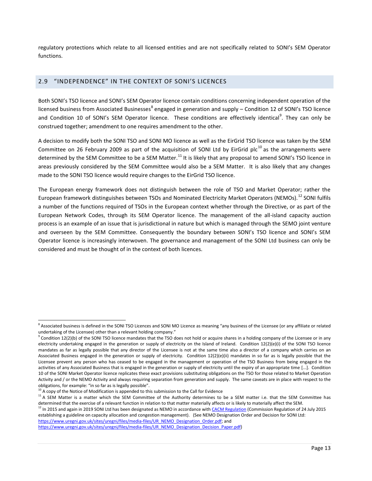regulatory protections which relate to all licensed entities and are not specifically related to SONI's SEM Operator functions.

#### <span id="page-12-0"></span>2.9 "INDEPENDENCE" IN THE CONTEXT OF SONI'S LICENCES

Both SONI's TSO licence and SONI's SEM Operator licence contain conditions concerning independent operation of the licensed business from Associated Businesses<sup>8</sup> engaged in generation and supply – Condition 12 of SONI's TSO licence and Condition 10 of SONI's SEM Operator licence. These conditions are effectively identical<sup>9</sup>. They can only be construed together; amendment to one requires amendment to the other.

A decision to modify both the SONI TSO and SONI MO licence as well as the EirGrid TSO licence was taken by the SEM Committee on 26 February 2009 as part of the acquisition of SONI Ltd by EirGrid plc<sup>10</sup> as the arrangements were determined by the SEM Committee to be a SEM Matter.<sup>11</sup> It is likely that any proposal to amend SONI's TSO licence in areas previously considered by the SEM Committee would also be a SEM Matter. It is also likely that any changes made to the SONI TSO licence would require changes to the EirGrid TSO licence.

The European energy framework does not distinguish between the role of TSO and Market Operator; rather the European framework distinguishes between TSOs and Nominated Electricity Market Operators (NEMOs).<sup>12</sup> SONI fulfils a number of the functions required of TSOs in the European context whether through the Directive, or as part of the European Network Codes, through its SEM Operator licence. The management of the all-island capacity auction process is an example of an issue that is jurisdictional in nature but which is managed through the SEMO joint venture and overseen by the SEM Committee. Consequently the boundary between SONI's TSO licence and SONI's SEM Operator licence is increasingly interwoven. The governance and management of the SONI Ltd business can only be considered and must be thought of in the context of both licences.

 $\overline{a}$ 

 $12$  In 2015 and again in 2019 SONI Ltd has been designated as NEMO in accordance with [CACM Regulation](https://eur-lex.europa.eu/legal-content/EN/TXT/?uri=CELEX%3A32015R1222) (Commission Regulation of 24 July 2015 establishing a guideline on capacity allocation and congestion management). (See NEMO Designation Order and Decision for SONI Ltd: [https://www.uregni.gov.uk/sites/uregni/files/media-files/UR\\_NEMO\\_Designation\\_Order.pdf;](https://www.uregni.gov.uk/sites/uregni/files/media-files/UR_NEMO_Designation_Order.pdf) and

[https://www.uregni.gov.uk/sites/uregni/files/media-files/UR\\_NEMO\\_Designation\\_Decision\\_Paper.pdf\)](https://www.uregni.gov.uk/sites/uregni/files/media-files/UR_NEMO_Designation_Decision_Paper.pdf)

 $^8$  Associated business is defined in the SONI TSO Licences and SONI MO Licence as meaning "any business of the Licensee (or any affiliate or related undertaking of the Licensee) other than a relevant holding company."

 $^9$  Condition 12(2)(b) of the SONI TSO licence mandates that the TSO does not hold or acquire shares in a holding company of the Licensee or in any electricity undertaking engaged in the generation or supply of electricity on the Island of Ireland. Condition 12(2)(e)(i) of the SONI TSO licence mandates as far as legally possible that any director of the Licensee is not at the same time also a director of a company which carries on an Associated Business engaged in the generation or supply of electricity. Condition 12(2)(e)(ii) mandates in so far as is legally possible that the Licensee prevent any person who has ceased to be engaged in the management or operation of the TSO Business from being engaged in the activities of any Associated Business that is engaged in the generation or supply of electricity until the expiry of an appropriate time [...]. Condition 10 of the SONI Market Operator licence replicates these exact provisions substituting obligations on the TSO for those related to Market Operation Activity and / or the NEMO Activity and always requiring separation from generation and supply. The same caveats are in place with respect to the obligations, for example: "in so far as is legally possible".

 $<sup>1</sup>$  A copy of the Notice of Modification is appended to this submission to the Call for Evidence</sup>

<sup>&</sup>lt;sup>11</sup> A SEM Matter is a matter which the SEM Committee of the Authority determines to be a SEM matter i.e. that the SEM Committee has determined that the exercise of a relevant function in relation to that matter materially affects or is likely to materially affect the SEM.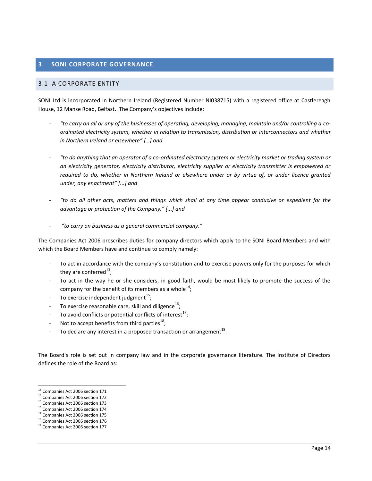#### <span id="page-13-0"></span>**3 SONI CORPORATE GOVERNANCE**

#### <span id="page-13-1"></span>3.1 A CORPORATE ENTITY

SONI Ltd is incorporated in Northern Ireland (Registered Number NI038715) with a registered office at Castlereagh House, 12 Manse Road, Belfast. The Company's objectives include:

- *"to carry on all or any of the businesses of operating, developing, managing, maintain and/or controlling a coordinated electricity system, whether in relation to transmission, distribution or interconnectors and whether in Northern Ireland or elsewhere" […] and*
- *"to do anything that an operator of a co-ordinated electricity system or electricity market or trading system or an electricity generator, electricity distributor, electricity supplier or electricity transmitter is empowered or required to do, whether in Northern Ireland or elsewhere under or by virtue of, or under licence granted under, any enactment" [...] and*
- *"to do all other acts, matters and things which shall at any time appear conducive or expedient for the advantage or protection of the Company." [...] and*
- *"to carry on business as a general commercial company."*

The Companies Act 2006 prescribes duties for company directors which apply to the SONI Board Members and with which the Board Members have and continue to comply namely:

- To act in accordance with the company's constitution and to exercise powers only for the purposes for which they are conferred $^{13}$ ;
- To act in the way he or she considers, in good faith, would be most likely to promote the success of the company for the benefit of its members as a whole<sup>14</sup>;
- $\,$  To exercise independent judgment $^{15}$ ;
- To exercise reasonable care, skill and diligence<sup>16</sup>;
- To avoid conflicts or potential conflicts of interest<sup>17</sup>;
- Not to accept benefits from third parties $^{18}$ ;
- To declare any interest in a proposed transaction or arrangement<sup>19</sup>.

The Board's role is set out in company law and in the corporate governance literature. The Institute of Directors defines the role of the Board as:

<sup>&</sup>lt;sup>13</sup> Companies Act 2006 section 171

<sup>14</sup> Companies Act 2006 section 172

<sup>15</sup> Companies Act 2006 section 173

<sup>&</sup>lt;sup>16</sup> Companies Act 2006 section 174

<sup>17</sup> Companies Act 2006 section 175

<sup>&</sup>lt;sup>18</sup> Companies Act 2006 section 176

<sup>19</sup> Companies Act 2006 section 177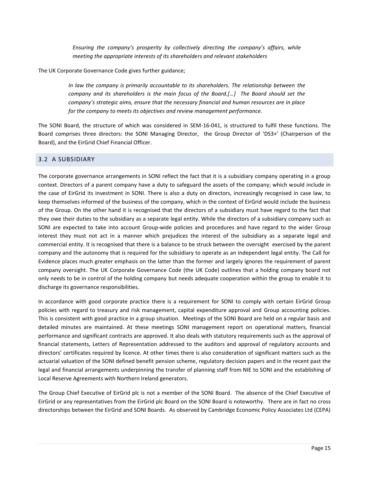*Ensuring the company's prosperity by collectively directing the company's affairs, while meeting the appropriate interests of its shareholders and relevant stakeholders*

The UK Corporate Governance Code gives further guidance;

*In law the company is primarily accountable to its shareholders. The relationship between the company and its shareholders is the main focus of the Board.[…] The Board should set the company's strategic aims, ensure that the necessary financial and human resources are in place for the company to meets its objectives and review management performance.*

The SONI Board, the structure of which was considered in SEM-16-041, is structured to fulfil these functions. The Board comprises three directors: the SONI Managing Director, the Group Director of 'DS3+' (Chairperson of the Board), and the EirGrid Chief Financial Officer.

#### <span id="page-14-0"></span>3.2 A SUBSIDIARY

The corporate governance arrangements in SONI reflect the fact that it is a subsidiary company operating in a group context. Directors of a parent company have a duty to safeguard the assets of the company; which would include in the case of EirGrid its investment in SONI. There is also a duty on directors, increasingly recognised in case law, to keep themselves informed of the business of the company, which in the context of EirGrid would include the business of the Group. On the other hand it is recognised that the directors of a subsidiary must have regard to the fact that they owe their duties to the subsidiary as a separate legal entity. While the directors of a subsidiary company such as SONI are expected to take into account Group-wide policies and procedures and have regard to the wider Group interest they must not act in a manner which prejudices the interest of the subsidiary as a separate legal and commercial entity. It is recognised that there is a balance to be struck between the oversight exercised by the parent company and the autonomy that is required for the subsidiary to operate as an independent legal entity. The Call for Evidence places much greater emphasis on the latter than the former and largely ignores the requirement of parent company oversight. The UK Corporate Governance Code (the UK Code) outlines that a holding company board not only needs to be in control of the holding company but needs adequate cooperation within the group to enable it to discharge its governance responsibilities.

In accordance with good corporate practice there is a requirement for SONI to comply with certain EirGrid Group policies with regard to treasury and risk management, capital expenditure approval and Group accounting policies. This is consistent with good practice in a group situation. Meetings of the SONI Board are held on a regular basis and detailed minutes are maintained. At these meetings SONI management report on operational matters, financial performance and significant contracts are approved. It also deals with statutory requirements such as the approval of financial statements, Letters of Representation addressed to the auditors and approval of regulatory accounts and directors' certificates required by licence. At other times there is also consideration of significant matters such as the actuarial valuation of the SONI defined benefit pension scheme, regulatory decision papers and in the recent past the legal and financial arrangements underpinning the transfer of planning staff from NIE to SONI and the establishing of Local Reserve Agreements with Northern Ireland generators.

The Group Chief Executive of EirGrid plc is not a member of the SONI Board. The absence of the Chief Executive of EirGrid or any representatives from the EirGrid plc Board on the SONI Board is noteworthy. There are in fact no cross directorships between the EirGrid and SONI Boards. As observed by Cambridge Economic Policy Associates Ltd (CEPA)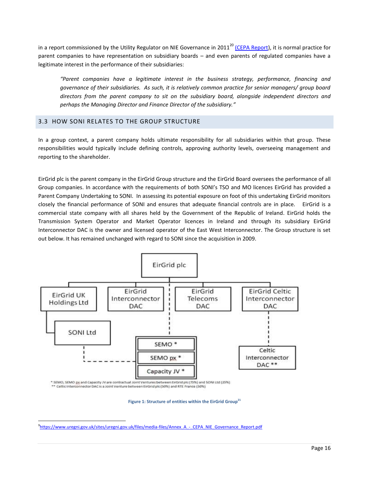in a [report commissioned by the Utility Regulator](https://www.uregni.gov.uk/sites/uregni.gov.uk/files/media-files/Annex_A_-_CEPA_NIE_Governance_Report.pdf) on NIE Governance in 2011<sup>20</sup> [\(CEPA Report\)](https://www.uregni.gov.uk/sites/uregni.gov.uk/files/media-files/Annex_A_-_CEPA_NIE_Governance_Report.pdf), it is normal practice for parent companies to have representation on subsidiary boards – and even parents of regulated companies have a legitimate interest in the performance of their subsidiaries:

*"Parent companies have a legitimate interest in the business strategy, performance, financing and governance of their subsidiaries. As such, it is relatively common practice for senior managers/ group board directors from the parent company to sit on the subsidiary board, alongside independent directors and perhaps the Managing Director and Finance Director of the subsidiary."*

#### <span id="page-15-0"></span>3.3 HOW SONI RELATES TO THE GROUP STRUCTURE

In a group context, a parent company holds ultimate responsibility for all subsidiaries within that group. These responsibilities would typically include defining controls, approving authority levels, overseeing management and reporting to the shareholder.

EirGrid plc is the parent company in the EirGrid Group structure and the EirGrid Board oversees the performance of all Group companies. In accordance with the requirements of both SONI's TSO and MO licences EirGrid has provided a Parent Company Undertaking to SONI. In assessing its potential exposure on foot of this undertaking EirGrid monitors closely the financial performance of SONI and ensures that adequate financial controls are in place. EirGrid is a commercial state company with all shares held by the Government of the Republic of Ireland. EirGrid holds the Transmission System Operator and Market Operator licences in Ireland and through its subsidiary EirGrid Interconnector DAC is the owner and licensed operator of the East West Interconnector. The Group structure is set out below. It has remained unchanged with regard to SONI since the acquisition in 2009.



\* SEMO, SEMO px and Capacity JV are contractual Joint Ventures between EirGrid plc (75%) and SONI Ltd (25%) \*\* Celtic Interconnector DAC is a Joint Venture between EirGrid plc (50%) and RTE France (50%)

**Figure 1: Structure of entities within the EirGrid Group<sup>21</sup>**

<sup>9&</sup>lt;br>[https://www.uregni.gov.uk/sites/uregni.gov.uk/files/media-files/Annex\\_A\\_-\\_CEPA\\_NIE\\_Governance\\_Report.pdf](https://www.uregni.gov.uk/sites/uregni.gov.uk/files/media-files/Annex_A_-_CEPA_NIE_Governance_Report.pdf)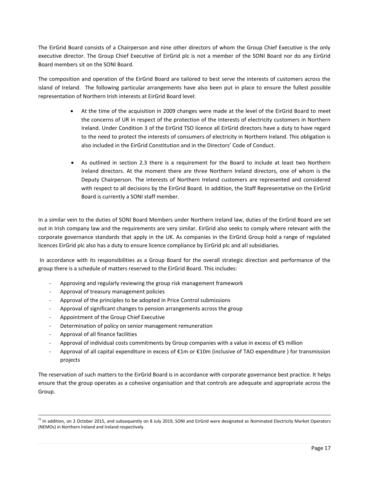The EirGrid Board consists of a Chairperson and nine other directors of whom the Group Chief Executive is the only executive director. The Group Chief Executive of EirGrid plc is not a member of the SONI Board nor do any EirGrid Board members sit on the SONI Board.

The composition and operation of the EirGrid Board are tailored to best serve the interests of customers across the island of Ireland. The following particular arrangements have also been put in place to ensure the fullest possible representation of Northern Irish interests at EirGrid Board level:

- At the time of the acquisition in 2009 changes were made at the level of the EirGrid Board to meet the concerns of UR in respect of the protection of the interests of electricity customers in Northern Ireland. Under Condition 3 of the EirGrid TSO licence all EirGrid directors have a duty to have regard to the need to protect the interests of consumers of electricity in Northern Ireland. This obligation is also included in the EirGrid Constitution and in the Directors' Code of Conduct.
- As outlined in section 2.3 there is a requirement for the Board to include at least two Northern Ireland directors. At the moment there are three Northern Ireland directors, one of whom is the Deputy Chairperson. The interests of Northern Ireland customers are represented and considered with respect to all decisions by the EirGrid Board. In addition, the Staff Representative on the EirGrid Board is currently a SONI staff member.

In a similar vein to the duties of SONI Board Members under Northern Ireland law, duties of the EirGrid Board are set out in Irish company law and the requirements are very similar. EirGrid also seeks to comply where relevant with the corporate governance standards that apply in the UK. As companies in the EirGrid Group hold a range of regulated licences EirGrid plc also has a duty to ensure licence compliance by EirGrid plc and all subsidiaries.

In accordance with its responsibilities as a Group Board for the overall strategic direction and performance of the group there is a schedule of matters reserved to the EirGrid Board. This includes:

- Approving and regularly reviewing the group risk management framework
- Approval of treasury management policies
- Approval of the principles to be adopted in Price Control submissions
- Approval of significant changes to pension arrangements across the group
- Appointment of the Group Chief Executive
- Determination of policy on senior management remuneration
- Approval of all finance facilities

 $\overline{a}$ 

- Approval of individual costs commitments by Group companies with a value in excess of  $\epsilon$ 5 million
- Approval of all capital expenditure in excess of  $E1m$  or  $E10m$  (inclusive of TAO expenditure ) for transmission projects

The reservation of such matters to the EirGrid Board is in accordance with corporate governance best practice. It helps ensure that the group operates as a cohesive organisation and that controls are adequate and appropriate across the Group.

 $^{21}$  In addition, on 2 October 2015, and subsequently on 8 July 2019, SONI and EirGrid were designated as Nominated Electricity Market Operators (NEMOs) in Northern Ireland and Ireland respectively.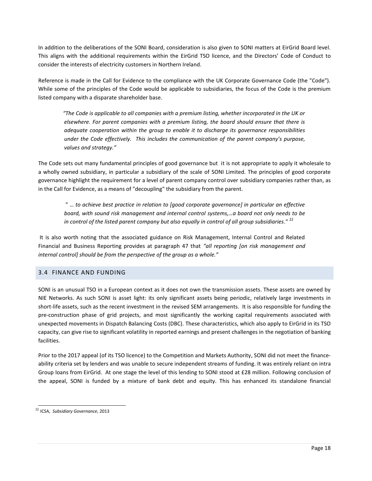In addition to the deliberations of the SONI Board, consideration is also given to SONI matters at EirGrid Board level. This aligns with the additional requirements within the EirGrid TSO licence, and the Directors' Code of Conduct to consider the interests of electricity customers in Northern Ireland.

Reference is made in the Call for Evidence to the compliance with the UK Corporate Governance Code (the "Code"). While some of the principles of the Code would be applicable to subsidiaries, the focus of the Code is the premium listed company with a disparate shareholder base.

*"The Code is applicable to all companies with a premium listing, whether incorporated in the UK or elsewhere. For parent companies with a premium listing, the board should ensure that there is adequate cooperation within the group to enable it to discharge its governance responsibilities under the Code effectively. This includes the communication of the parent company's purpose, values and strategy."*

The Code sets out many fundamental principles of good governance but it is not appropriate to apply it wholesale to a wholly owned subsidiary, in particular a subsidiary of the scale of SONI Limited. The principles of good corporate governance highlight the requirement for a level of parent company control over subsidiary companies rather than, as in the Call for Evidence, as a means of "decoupling" the subsidiary from the parent.

" … *to achieve best practice in relation to [good corporate governance] in particular an effective board, with sound risk management and internal control systems,…a board not only needs to be*  in control of the listed parent company but also equally in control of all group subsidiaries." <sup>22</sup>

It is also worth noting that the associated guidance on Risk Management, Internal Control and Related Financial and Business Reporting provides at paragraph 47 that *"all reporting [on risk management and internal control] should be from the perspective of the group as a whole."*

#### <span id="page-17-0"></span>3.4 FINANCE AND FUNDING

SONI is an unusual TSO in a European context as it does not own the transmission assets. These assets are owned by NIE Networks. As such SONI is asset light: its only significant assets being periodic, relatively large investments in short-life assets, such as the recent investment in the revised SEM arrangements. It is also responsible for funding the pre-construction phase of grid projects, and most significantly the working capital requirements associated with unexpected movements in Dispatch Balancing Costs (DBC). These characteristics, which also apply to EirGrid in its TSO capacity, can give rise to significant volatility in reported earnings and present challenges in the negotiation of banking facilities.

Prior to the 2017 appeal (of its TSO licence) to the Competition and Markets Authority, SONI did not meet the financeability criteria set by lenders and was unable to secure independent streams of funding. It was entirely reliant on intra Group loans from EirGrid. At one stage the level of this lending to SONI stood at £28 million. Following conclusion of the appeal, SONI is funded by a mixture of bank debt and equity. This has enhanced its standalone financial

 $\overline{a}$ <sup>22</sup> ICSA, *Subsidiary Governance*, 2013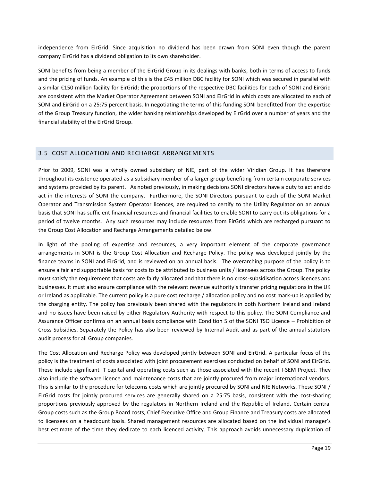independence from EirGrid. Since acquisition no dividend has been drawn from SONI even though the parent company EirGrid has a dividend obligation to its own shareholder.

SONI benefits from being a member of the EirGrid Group in its dealings with banks, both in terms of access to funds and the pricing of funds. An example of this is the £45 million DBC facility for SONI which was secured in parallel with a similar €150 million facility for EirGrid; the proportions of the respective DBC facilities for each of SONI and EirGrid are consistent with the Market Operator Agreement between SONI and EirGrid in which costs are allocated to each of SONI and EirGrid on a 25:75 percent basis. In negotiating the terms of this funding SONI benefitted from the expertise of the Group Treasury function, the wider banking relationships developed by EirGrid over a number of years and the financial stability of the EirGrid Group.

#### <span id="page-18-0"></span>3.5 COST ALLOCATION AND RECHARGE ARRANGEMENTS

Prior to 2009, SONI was a wholly owned subsidiary of NIE, part of the wider Viridian Group. It has therefore throughout its existence operated as a subsidiary member of a larger group benefiting from certain corporate services and systems provided by its parent. As noted previously, in making decisions SONI directors have a duty to act and do act in the interests of SONI the company. Furthermore, the SONI Directors pursuant to each of the SONI Market Operator and Transmission System Operator licences, are required to certify to the Utility Regulator on an annual basis that SONI has sufficient financial resources and financial facilities to enable SONI to carry out its obligations for a period of twelve months. Any such resources may include resources from EirGrid which are recharged pursuant to the Group Cost Allocation and Recharge Arrangements detailed below.

In light of the pooling of expertise and resources, a very important element of the corporate governance arrangements in SONI is the Group Cost Allocation and Recharge Policy. The policy was developed jointly by the finance teams in SONI and EirGrid, and is reviewed on an annual basis. The overarching purpose of the policy is to ensure a fair and supportable basis for costs to be attributed to business units / licensees across the Group. The policy must satisfy the requirement that costs are fairly allocated and that there is no cross-subsidisation across licences and businesses. It must also ensure compliance with the relevant revenue authority's transfer pricing regulations in the UK or Ireland as applicable. The current policy is a pure cost recharge / allocation policy and no cost mark-up is applied by the charging entity. The policy has previously been shared with the regulators in both Northern Ireland and Ireland and no issues have been raised by either Regulatory Authority with respect to this policy. The SONI Compliance and Assurance Officer confirms on an annual basis compliance with Condition 5 of the SONI TSO Licence – Prohibition of Cross Subsidies. Separately the Policy has also been reviewed by Internal Audit and as part of the annual statutory audit process for all Group companies.

The Cost Allocation and Recharge Policy was developed jointly between SONI and EirGrid. A particular focus of the policy is the treatment of costs associated with joint procurement exercises conducted on behalf of SONI and EirGrid. These include significant IT capital and operating costs such as those associated with the recent I-SEM Project. They also include the software licence and maintenance costs that are jointly procured from major international vendors. This is similar to the procedure for telecoms costs which are jointly procured by SONI and NIE Networks. These SONI / EirGrid costs for jointly procured services are generally shared on a 25:75 basis, consistent with the cost-sharing proportions previously approved by the regulators in Northern Ireland and the Republic of Ireland. Certain central Group costs such as the Group Board costs, Chief Executive Office and Group Finance and Treasury costs are allocated to licensees on a headcount basis. Shared management resources are allocated based on the individual manager's best estimate of the time they dedicate to each licenced activity. This approach avoids unnecessary duplication of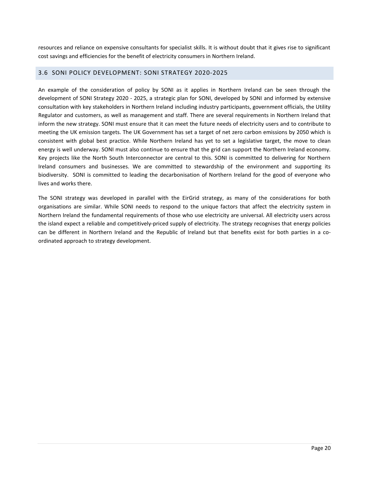resources and reliance on expensive consultants for specialist skills. It is without doubt that it gives rise to significant cost savings and efficiencies for the benefit of electricity consumers in Northern Ireland.

#### <span id="page-19-0"></span>3.6 SONI POLICY DEVELOPMENT: SONI STRATEGY 2020-2025

An example of the consideration of policy by SONI as it applies in Northern Ireland can be seen through the development of SONI Strategy 2020 - 2025, a strategic plan for SONI, developed by SONI and informed by extensive consultation with key stakeholders in Northern Ireland including industry participants, government officials, the Utility Regulator and customers, as well as management and staff. There are several requirements in Northern Ireland that inform the new strategy. SONI must ensure that it can meet the future needs of electricity users and to contribute to meeting the UK emission targets. The UK Government has set a target of net zero carbon emissions by 2050 which is consistent with global best practice. While Northern Ireland has yet to set a legislative target, the move to clean energy is well underway. SONI must also continue to ensure that the grid can support the Northern Ireland economy. Key projects like the North South Interconnector are central to this. SONI is committed to delivering for Northern Ireland consumers and businesses. We are committed to stewardship of the environment and supporting its biodiversity. SONI is committed to leading the decarbonisation of Northern Ireland for the good of everyone who lives and works there.

The SONI strategy was developed in parallel with the EirGrid strategy, as many of the considerations for both organisations are similar. While SONI needs to respond to the unique factors that affect the electricity system in Northern Ireland the fundamental requirements of those who use electricity are universal. All electricity users across the island expect a reliable and competitively-priced supply of electricity. The strategy recognises that energy policies can be different in Northern Ireland and the Republic of Ireland but that benefits exist for both parties in a coordinated approach to strategy development.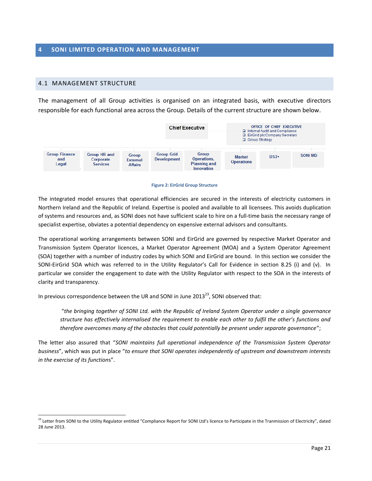#### <span id="page-20-1"></span><span id="page-20-0"></span>4.1 MANAGEMENT STRUCTURE

 $\overline{a}$ 

The management of all Group activities is organised on an integrated basis, with executive directors responsible for each functional area across the Group. Details of the current structure are shown below.



#### **Figure 2: EirGrid Group Structure**

The integrated model ensures that operational efficiencies are secured in the interests of electricity customers in Northern Ireland and the Republic of Ireland. Expertise is pooled and available to all licensees. This avoids duplication of systems and resources and, as SONI does not have sufficient scale to hire on a full-time basis the necessary range of specialist expertise, obviates a potential dependency on expensive external advisors and consultants.

The operational working arrangements between SONI and EirGrid are governed by respective Market Operator and Transmission System Operator licences, a Market Operator Agreement (MOA) and a System Operator Agreement (SOA) together with a number of industry codes by which SONI and EirGrid are bound. In this section we consider the SONI-EirGrid SOA which was referred to in the Utility Regulator's Call for Evidence in section 8.25 (i) and (v). In particular we consider the engagement to date with the Utility Regulator with respect to the SOA in the interests of clarity and transparency.

In previous correspondence between the UR and SONI in June 2013<sup>23</sup>, SONI observed that:

"*the bringing together of SONI Ltd. with the Republic of Ireland System Operator under a single governance structure has effectively internalised the requirement to enable each other to fulfil the other's functions and therefore overcomes many of the obstacles that could potentially be present under separate governance*";

The letter also assured that "*SONI maintains full operational independence of the Transmission System Operator business*", which was put in place "*to ensure that SONI operates independently of upstream and downstream interests in the exercise of its function*s".

 $^{23}$  Letter from SONI to the Utility Regulator entitled "Compliance Report for SONI Ltd's licence to Participate in the Tranmission of Electricity", dated 28 June 2013.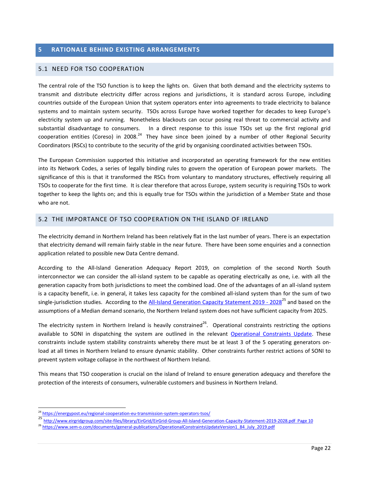### <span id="page-21-0"></span>**5 RATIONALE BEHIND EXISTING ARRANGEMENTS**

#### <span id="page-21-1"></span>5.1 NEED FOR TSO COOPERATION

The central role of the TSO function is to keep the lights on. Given that both demand and the electricity systems to transmit and distribute electricity differ across regions and jurisdictions, it is standard across Europe, including countries outside of the European Union that system operators enter into agreements to trade electricity to balance systems and to maintain system security. TSOs across Europe have worked together for decades to keep Europe's electricity system up and running. Nonetheless blackouts can occur posing real threat to commercial activity and substantial disadvantage to consumers. In a direct response to this issue TSOs set up the first regional grid cooperation entities (Coreso) in 2008.<sup>24</sup> They have since been joined by a number of other Regional Security Coordinators (RSCs) to contribute to the security of the grid by organising coordinated activities between TSOs.

The European Commission supported this initiative and incorporated an operating framework for the new entities into its Network Codes, a series of legally binding rules to govern the operation of European power markets. The significance of this is that it transformed the RSCs from voluntary to mandatory structures, effectively requiring all TSOs to cooperate for the first time. It is clear therefore that across Europe, system security is requiring TSOs to work together to keep the lights on; and this is equally true for TSOs within the jurisdiction of a Member State and those who are not.

#### <span id="page-21-2"></span>5.2 THE IMPORTANCE OF TSO COOPERATION ON THE ISLAND OF IRELAND

The electricity demand in Northern Ireland has been relatively flat in the last number of years. There is an expectation that electricity demand will remain fairly stable in the near future. There have been some enquiries and a connection application related to possible new Data Centre demand.

According to the All-Island Generation Adequacy Report 2019, on completion of the second North South interconnector we can consider the all-island system to be capable as operating electrically as one, i.e. with all the generation capacity from both jurisdictions to meet the combined load. One of the advantages of an all-island system is a capacity benefit, i.e. in general, it takes less capacity for the combined all-island system than for the sum of two single-jurisdiction studies. According to the All-Island [Generation Capacity Statement](http://www.eirgridgroup.com/site-files/library/EirGrid/EirGrid-Group-All-Island-Generation-Capacity-Statement-2019-2028.pdf) 2019 - 2028<sup>25</sup> and based on the assumptions of a Median demand scenario, the Northern Ireland system does not have sufficient capacity from 2025.

The electricity system in Northern Ireland is heavily constrained<sup>26</sup>. Operational constraints restricting the options available to SONI in dispatching the system are outlined in the relevant [Operational Constraints Update.](https://www.sem-o.com/documents/general-publications/OperationalConstraintsUpdateVersion1_84_July_2019.pdf) These constraints include system stability constraints whereby there must be at least 3 of the 5 operating generators onload at all times in Northern Ireland to ensure dynamic stability. Other constraints further restrict actions of SONI to prevent system voltage collapse in the northwest of Northern Ireland.

This means that TSO cooperation is crucial on the island of Ireland to ensure generation adequacy and therefore the protection of the interests of consumers, vulnerable customers and business in Northern Ireland.

<sup>&</sup>lt;sup>24</sup> <https://energypost.eu/regional-cooperation-eu-transmission-system-operators-tsos/>

<sup>25</sup> <http://www.eirgridgroup.com/site-files/library/EirGrid/EirGrid-Group-All-Island-Generation-Capacity-Statement-2019-2028.pdf>Page 10

<sup>&</sup>lt;sup>26</sup> [https://www.sem-o.com/documents/general-publications/OperationalConstraintsUpdateVersion1\\_84\\_July\\_2019.pdf](https://www.sem-o.com/documents/general-publications/OperationalConstraintsUpdateVersion1_84_July_2019.pdf)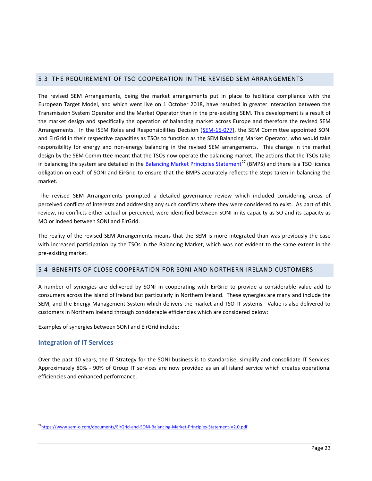#### <span id="page-22-0"></span>5.3 THE REQUIREMENT OF TSO COOPERATION IN THE REVISED SEM ARRANGEMENTS

The revised SEM Arrangements, being the market arrangements put in place to facilitate compliance with the European Target Model, and which went live on 1 October 2018, have resulted in greater interaction between the Transmission System Operator and the Market Operator than in the pre-existing SEM. This development is a result of the market design and specifically the operation of balancing market across Europe and therefore the revised SEM Arrangements. In the ISEM Roles and Responsibilities Decision [\(SEM-15-077\)](https://www.semcommittee.com/publication/sem-15-077-i-sem-roles-and-responsibilities-decision), the SEM Committee appointed SONI and EirGrid in their respective capacities as TSOs to function as the SEM Balancing Market Operator, who would take responsibility for energy and non-energy balancing in the revised SEM arrangements. This change in the market design by the SEM Committee meant that the TSOs now operate the balancing market. The actions that the TSOs take in balancing the system are detailed in the **Balancing Market Principles Statement<sup>27</sup> (BMPS)** and there is a TSO licence obligation on each of SONI and EirGrid to ensure that the BMPS accurately reflects the steps taken in balancing the market.

The revised SEM Arrangements prompted a detailed governance review which included considering areas of perceived conflicts of interests and addressing any such conflicts where they were considered to exist. As part of this review, no conflicts either actual or perceived, were identified between SONI in its capacity as SO and its capacity as MO or indeed between SONI and EirGrid.

The reality of the revised SEM Arrangements means that the SEM is more integrated than was previously the case with increased participation by the TSOs in the Balancing Market, which was not evident to the same extent in the pre-existing market.

#### <span id="page-22-1"></span>5.4 BENEFITS OF CLOSE COOPERATION FOR SONI AND NORTHERN IRELAND CUSTOMERS

A number of synergies are delivered by SONI in cooperating with EirGrid to provide a considerable value-add to consumers across the island of Ireland but particularly in Northern Ireland. These synergies are many and include the SEM, and the Energy Management System which delivers the market and TSO IT systems. Value is also delivered to customers in Northern Ireland through considerable efficiencies which are considered below:

Examples of synergies between SONI and EirGrid include:

#### **Integration of IT Services**

 $\overline{a}$ 

Over the past 10 years, the IT Strategy for the SONI business is to standardise, simplify and consolidate IT Services. Approximately 80% - 90% of Group IT services are now provided as an all island service which creates operational efficiencies and enhanced performance.

<sup>&</sup>lt;sup>27</sup><https://www.sem-o.com/documents/EirGrid-and-SONI-Balancing-Market-Principles-Statement-V2.0.pdf>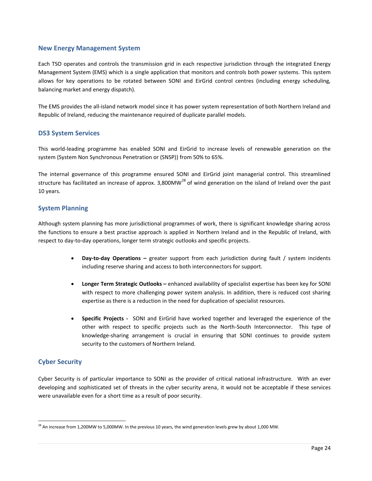#### **New Energy Management System**

Each TSO operates and controls the transmission grid in each respective jurisdiction through the integrated Energy Management System (EMS) which is a single application that monitors and controls both power systems. This system allows for key operations to be rotated between SONI and EirGrid control centres (including energy scheduling, balancing market and energy dispatch).

The EMS provides the all-island network model since it has power system representation of both Northern Ireland and Republic of Ireland, reducing the maintenance required of duplicate parallel models.

#### **DS3 System Services**

This world-leading programme has enabled SONI and EirGrid to increase levels of renewable generation on the system (System Non Synchronous Penetration or (SNSP)) [from 50% to 65%.](http://www.eirgridgroup.com/newsroom/record-renewable-energy-o/index.xml)

The internal governance of this programme ensured SONI and EirGrid joint managerial control. This streamlined structure has facilitated an increase of approx. 3,800MW<sup>28</sup> of wind generation on the island of Ireland over the past 10 years.

#### **System Planning**

Although system planning has more jurisdictional programmes of work, there is significant knowledge sharing across the functions to ensure a best practise approach is applied in Northern Ireland and in the Republic of Ireland, with respect to day-to-day operations, longer term strategic outlooks and specific projects.

- **Day-to-day Operations –** greater support from each jurisdiction during fault / system incidents including reserve sharing and access to both interconnectors for support.
- **Longer Term Strategic Outlooks –** enhanced availability of specialist expertise has been key for SONI with respect to more challenging power system analysis. In addition, there is reduced cost sharing expertise as there is a reduction in the need for duplication of specialist resources.
- **Specific Projects** SONI and EirGrid have worked together and leveraged the experience of the other with respect to specific projects such as the North-South Interconnector. This type of knowledge-sharing arrangement is crucial in ensuring that SONI continues to provide system security to the customers of Northern Ireland.

#### **Cyber Security**

 $\overline{a}$ 

Cyber Security is of particular importance to SONI as the provider of critical national infrastructure. With an ever developing and sophisticated set of threats in the cyber security arena, it would not be acceptable if these services were unavailable even for a short time as a result of poor security.

 $^{28}$  An increase from 1,200MW to 5,000MW. In the previous 10 years, the wind generation levels grew by about 1,000 MW.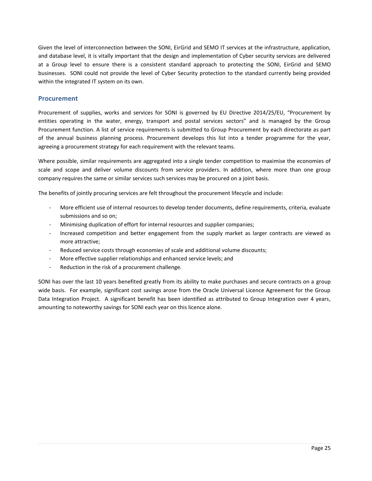Given the level of interconnection between the SONI, EirGrid and SEMO IT services at the infrastructure, application, and database level, it is vitally important that the design and implementation of Cyber security services are delivered at a Group level to ensure there is a consistent standard approach to protecting the SONI, EirGrid and SEMO businesses. SONI could not provide the level of Cyber Security protection to the standard currently being provided within the integrated IT system on its own.

#### **Procurement**

Procurement of supplies, works and services for SONI is governed by EU Directive 2014/25/EU, "Procurement by entities operating in the water, energy, transport and postal services sectors" and is managed by the Group Procurement function. A list of service requirements is submitted to Group Procurement by each directorate as part of the annual business planning process. Procurement develops this list into a tender programme for the year, agreeing a procurement strategy for each requirement with the relevant teams.

Where possible, similar requirements are aggregated into a single tender competition to maximise the economies of scale and scope and deliver volume discounts from service providers. In addition, where more than one group company requires the same or similar services such services may be procured on a joint basis.

The benefits of jointly procuring services are felt throughout the procurement lifecycle and include:

- More efficient use of internal resources to develop tender documents, define requirements, criteria, evaluate submissions and so on;
- Minimising duplication of effort for internal resources and supplier companies;
- Increased competition and better engagement from the supply market as larger contracts are viewed as more attractive;
- Reduced service costs through economies of scale and additional volume discounts;
- More effective supplier relationships and enhanced service levels; and
- Reduction in the risk of a procurement challenge.

SONI has over the last 10 years benefited greatly from its ability to make purchases and secure contracts on a group wide basis. For example, significant cost savings arose from the Oracle Universal Licence Agreement for the Group Data Integration Project. A significant benefit has been identified as attributed to Group Integration over 4 years, amounting to noteworthy savings for SONI each year on this licence alone.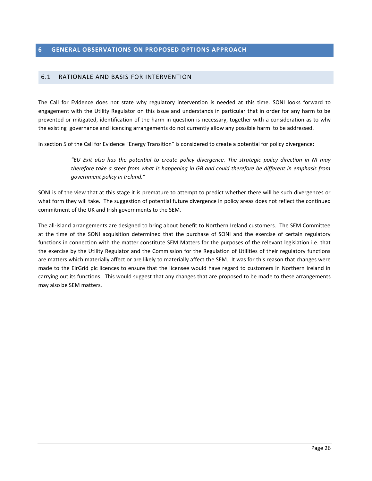#### <span id="page-25-0"></span>**6 GENERAL OBSERVATIONS ON PROPOSED OPTIONS APPROACH**

#### <span id="page-25-1"></span>6.1 RATIONALE AND BASIS FOR INTERVENTION

The Call for Evidence does not state why regulatory intervention is needed at this time. SONI looks forward to engagement with the Utility Regulator on this issue and understands in particular that in order for any harm to be prevented or mitigated, identification of the harm in question is necessary, together with a consideration as to why the existing governance and licencing arrangements do not currently allow any possible harm to be addressed.

In section 5 of the Call for Evidence "Energy Transition" is considered to create a potential for policy divergence:

*"EU Exit also has the potential to create policy divergence. The strategic policy direction in NI may therefore take a steer from what is happening in GB and could therefore be different in emphasis from government policy in Ireland."*

SONI is of the view that at this stage it is premature to attempt to predict whether there will be such divergences or what form they will take. The suggestion of potential future divergence in policy areas does not reflect the continued commitment of the UK and Irish governments to the SEM.

The all-island arrangements are designed to bring about benefit to Northern Ireland customers. The SEM Committee at the time of the SONI acquisition determined that the purchase of SONI and the exercise of certain regulatory functions in connection with the matter constitute SEM Matters for the purposes of the relevant legislation i.e. that the exercise by the Utility Regulator and the Commission for the Regulation of Utilities of their regulatory functions are matters which materially affect or are likely to materially affect the SEM. It was for this reason that changes were made to the EirGrid plc licences to ensure that the licensee would have regard to customers in Northern Ireland in carrying out its functions. This would suggest that any changes that are proposed to be made to these arrangements may also be SEM matters.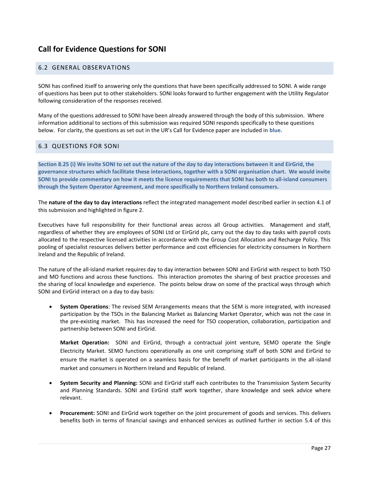# <span id="page-26-0"></span>**Call for Evidence Questions for SONI**

#### <span id="page-26-1"></span>6.2 GENERAL OBSERVATIONS

SONI has confined itself to answering only the questions that have been specifically addressed to SONI. A wide range of questions has been put to other stakeholders. SONI looks forward to further engagement with the Utility Regulator following consideration of the responses received.

Many of the questions addressed to SONI have been already answered through the body of this submission. Where information additional to sections of this submission was required SONI responds specifically to these questions below. For clarity, the questions as set out in the UR's Call for Evidence paper are included in **blue.**

#### <span id="page-26-2"></span>6.3 QUESTIONS FOR SONI

**Section 8.25 (i) We invite SONI to set out the nature of the day to day interactions between it and EirGrid, the governance structures which facilitate these interactions, together with a SONI organisation chart. We would invite SONI to provide commentary on how it meets the licence requirements that SONI has both to all-island consumers through the System Operator Agreement, and more specifically to Northern Ireland consumers.**

The **nature of the day to day interactions** reflect the integrated management model described earlier in section 4.1 of this submission and highlighted in figure 2.

Executives have full responsibility for their functional areas across all Group activities. Management and staff, regardless of whether they are employees of SONI Ltd or EirGrid plc, carry out the day to day tasks with payroll costs allocated to the respective licensed activities in accordance with the Group Cost Allocation and Recharge Policy. This pooling of specialist resources delivers better performance and cost efficiencies for electricity consumers in Northern Ireland and the Republic of Ireland.

The nature of the all-island market requires day to day interaction between SONI and EirGrid with respect to both TSO and MO functions and across these functions. This interaction promotes the sharing of best practice processes and the sharing of local knowledge and experience. The points below draw on some of the practical ways through which SONI and EirGrid interact on a day to day basis:

 **System Operations**: The revised SEM Arrangements means that the SEM is more integrated, with increased participation by the TSOs in the Balancing Market as Balancing Market Operator, which was not the case in the pre-existing market. This has increased the need for TSO cooperation, collaboration, participation and partnership between SONI and EirGrid.

**Market Operation:** SONI and EirGrid, through a contractual joint venture, SEMO operate the Single Electricity Market. SEMO functions operationally as one unit comprising staff of both SONI and EirGrid to ensure the market is operated on a seamless basis for the benefit of market participants in the all-island market and consumers in Northern Ireland and Republic of Ireland.

- **System Security and Planning:** SONI and EirGrid staff each contributes to the Transmission System Security and Planning Standards. SONI and EirGrid staff work together, share knowledge and seek advice where relevant.
- **Procurement:** SONI and EirGrid work together on the joint procurement of goods and services. This delivers benefits both in terms of financial savings and enhanced services as outlined further in section 5.4 of this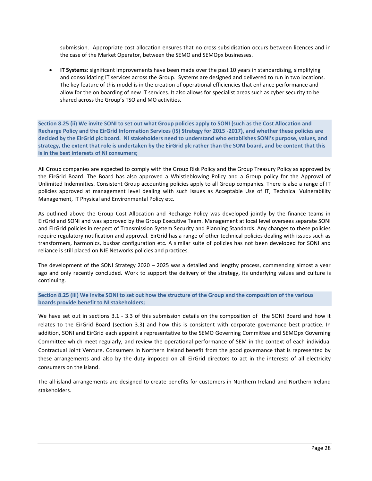submission. Appropriate cost allocation ensures that no cross subsidisation occurs between licences and in the case of the Market Operator, between the SEMO and SEMOpx businesses.

 **IT Systems**: significant improvements have been made over the past 10 years in standardising, simplifying and consolidating IT services across the Group. Systems are designed and delivered to run in two locations. The key feature of this model is in the creation of operational efficiencies that enhance performance and allow for the on boarding of new IT services. It also allows for specialist areas such as cyber security to be shared across the Group's TSO and MO activities.

**Section 8.25 (ii) We invite SONI to set out what Group policies apply to SONI (such as the Cost Allocation and Recharge Policy and the EirGrid Information Services (IS) Strategy for 2015 -2017), and whether these policies are decided by the EirGrid plc board. NI stakeholders need to understand who establishes SONI's purpose, values, and strategy, the extent that role is undertaken by the EirGrid plc rather than the SONI board, and be content that this is in the best interests of NI consumers;**

All Group companies are expected to comply with the Group Risk Policy and the Group Treasury Policy as approved by the EirGrid Board. The Board has also approved a Whistleblowing Policy and a Group policy for the Approval of Unlimited Indemnities. Consistent Group accounting policies apply to all Group companies. There is also a range of IT policies approved at management level dealing with such issues as Acceptable Use of IT, Technical Vulnerability Management, IT Physical and Environmental Policy etc.

As outlined above the Group Cost Allocation and Recharge Policy was developed jointly by the finance teams in EirGrid and SONI and was approved by the Group Executive Team. Management at local level oversees separate SONI and EirGrid policies in respect of Transmission System Security and Planning Standards. Any changes to these policies require regulatory notification and approval. EirGrid has a range of other technical policies dealing with issues such as transformers, harmonics, busbar configuration etc. A similar suite of policies has not been developed for SONI and reliance is still placed on NIE Networks policies and practices.

The development of the SONI Strategy 2020 – 2025 was a detailed and lengthy process, commencing almost a year ago and only recently concluded. Work to support the delivery of the strategy, its underlying values and culture is continuing.

**Section 8.25 (iii) We invite SONI to set out how the structure of the Group and the composition of the various boards provide benefit to NI stakeholders;**

We have set out in sections 3.1 - 3.3 of this submission details on the composition of the SONI Board and how it relates to the EirGrid Board (section 3.3) and how this is consistent with corporate governance best practice. In addition, SONI and EirGrid each appoint a representative to the SEMO Governing Committee and SEMOpx Governing Committee which meet regularly, and review the operational performance of SEM in the context of each individual Contractual Joint Venture. Consumers in Northern Ireland benefit from the good governance that is represented by these arrangements and also by the duty imposed on all EirGrid directors to act in the interests of all electricity consumers on the island.

The all-island arrangements are designed to create benefits for customers in Northern Ireland and Northern Ireland stakeholders.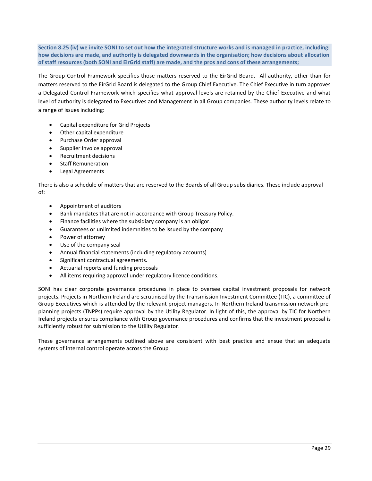**Section 8.25 (iv) we invite SONI to set out how the integrated structure works and is managed in practice, including: how decisions are made, and authority is delegated downwards in the organisation; how decisions about allocation of staff resources (both SONI and EirGrid staff) are made, and the pros and cons of these arrangements;**

The Group Control Framework specifies those matters reserved to the EirGrid Board. All authority, other than for matters reserved to the EirGrid Board is delegated to the Group Chief Executive. The Chief Executive in turn approves a Delegated Control Framework which specifies what approval levels are retained by the Chief Executive and what level of authority is delegated to Executives and Management in all Group companies. These authority levels relate to a range of issues including:

- Capital expenditure for Grid Projects
- Other capital expenditure
- Purchase Order approval
- Supplier Invoice approval
- Recruitment decisions
- Staff Remuneration
- Legal Agreements

There is also a schedule of matters that are reserved to the Boards of all Group subsidiaries. These include approval of:

- Appointment of auditors
- Bank mandates that are not in accordance with Group Treasury Policy.
- Finance facilities where the subsidiary company is an obligor.
- Guarantees or unlimited indemnities to be issued by the company
- Power of attorney
- Use of the company seal
- Annual financial statements (including regulatory accounts)
- Significant contractual agreements.
- Actuarial reports and funding proposals
- All items requiring approval under regulatory licence conditions.

SONI has clear corporate governance procedures in place to oversee capital investment proposals for network projects. Projects in Northern Ireland are scrutinised by the Transmission Investment Committee (TIC), a committee of Group Executives which is attended by the relevant project managers. In Northern Ireland transmission network preplanning projects (TNPPs) require approval by the Utility Regulator. In light of this, the approval by TIC for Northern Ireland projects ensures compliance with Group governance procedures and confirms that the investment proposal is sufficiently robust for submission to the Utility Regulator.

These governance arrangements outlined above are consistent with best practice and ensue that an adequate systems of internal control operate across the Group.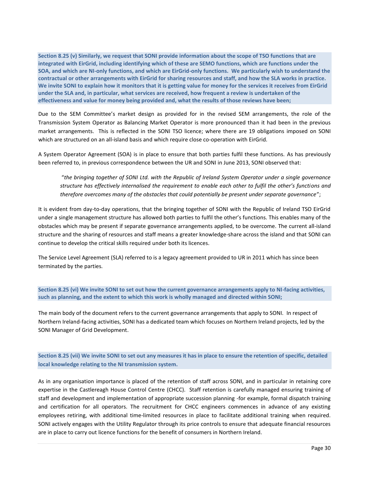**Section 8.25 (v) Similarly, we request that SONI provide information about the scope of TSO functions that are integrated with EirGrid, including identifying which of these are SEMO functions, which are functions under the SOA, and which are NI-only functions, and which are EirGrid-only functions. We particularly wish to understand the contractual or other arrangements with EirGrid for sharing resources and staff, and how the SLA works in practice. We invite SONI to explain how it monitors that it is getting value for money for the services it receives from EirGrid under the SLA and, in particular, what services are received, how frequent a review is undertaken of the effectiveness and value for money being provided and, what the results of those reviews have been;**

Due to the SEM Committee's market design as provided for in the revised SEM arrangements, the role of the Transmission System Operator as Balancing Market Operator is more pronounced than it had been in the previous market arrangements. This is reflected in the SONI TSO licence; where there are 19 obligations imposed on SONI which are structured on an all-island basis and which require close co-operation with EirGrid.

A System Operator Agreement (SOA) is in place to ensure that both parties fulfil these functions. As has previously been referred to, in previous correspondence between the UR and SONI in June 2013, SONI observed that:

"*the bringing together of SONI Ltd. with the Republic of Ireland System Operator under a single governance structure has effectively internalised the requirement to enable each other to fulfil the other's functions and therefore overcomes many of the obstacles that could potentially be present under separate governance*";

It is evident from day-to-day operations, that the bringing together of SONI with the Republic of Ireland TSO EirGrid under a single management structure has allowed both parties to fulfil the other's functions. This enables many of the obstacles which may be present if separate governance arrangements applied, to be overcome. The current all-island structure and the sharing of resources and staff means a greater knowledge-share across the island and that SONI can continue to develop the critical skills required under both its licences.

The Service Level Agreement (SLA) referred to is a legacy agreement provided to UR in 2011 which has since been terminated by the parties.

**Section 8.25 (vi) We invite SONI to set out how the current governance arrangements apply to NI-facing activities, such as planning, and the extent to which this work is wholly managed and directed within SONI;**

The main body of the document refers to the current governance arrangements that apply to SONI. In respect of Northern Ireland-facing activities, SONI has a dedicated team which focuses on Northern Ireland projects, led by the SONI Manager of Grid Development.

**Section 8.25 (vii) We invite SONI to set out any measures it has in place to ensure the retention of specific, detailed local knowledge relating to the NI transmission system.**

As in any organisation importance is placed of the retention of staff across SONI, and in particular in retaining core expertise in the Castlereagh House Control Centre (CHCC). Staff retention is carefully managed ensuring training of staff and development and implementation of appropriate succession planning -for example, formal dispatch training and certification for all operators. The recruitment for CHCC engineers commences in advance of any existing employees retiring, with additional time-limited resources in place to facilitate additional training when required. SONI actively engages with the Utility Regulator through its price controls to ensure that adequate financial resources are in place to carry out licence functions for the benefit of consumers in Northern Ireland.